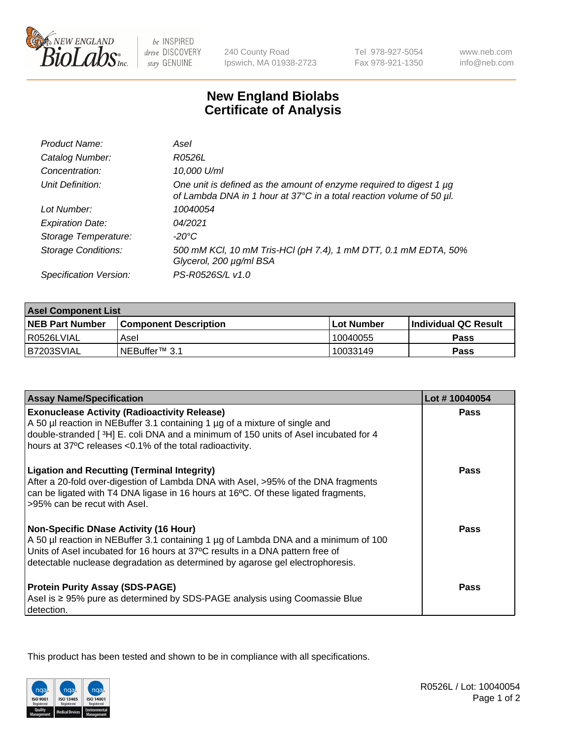

 $be$  INSPIRED drive DISCOVERY stay GENUINE

240 County Road Ipswich, MA 01938-2723 Tel 978-927-5054 Fax 978-921-1350 www.neb.com info@neb.com

## **New England Biolabs Certificate of Analysis**

| Product Name:              | Asel                                                                                                                                        |
|----------------------------|---------------------------------------------------------------------------------------------------------------------------------------------|
| Catalog Number:            | R0526L                                                                                                                                      |
| Concentration:             | 10,000 U/ml                                                                                                                                 |
| Unit Definition:           | One unit is defined as the amount of enzyme required to digest 1 µg<br>of Lambda DNA in 1 hour at 37°C in a total reaction volume of 50 µl. |
| Lot Number:                | 10040054                                                                                                                                    |
| <b>Expiration Date:</b>    | 04/2021                                                                                                                                     |
| Storage Temperature:       | $-20^{\circ}$ C                                                                                                                             |
| <b>Storage Conditions:</b> | 500 mM KCI, 10 mM Tris-HCI (pH 7.4), 1 mM DTT, 0.1 mM EDTA, 50%<br>Glycerol, 200 µg/ml BSA                                                  |
| Specification Version:     | PS-R0526S/L v1.0                                                                                                                            |

| <b>Asel Component List</b> |                              |              |                             |  |
|----------------------------|------------------------------|--------------|-----------------------------|--|
| <b>NEB Part Number</b>     | <b>Component Description</b> | l Lot Number | <b>Individual QC Result</b> |  |
| l R0526LVIAL               | Asel                         | 10040055     | <b>Pass</b>                 |  |
| B7203SVIAL                 | INEBuffer <sup>™</sup> 3.1   | 10033149     | Pass                        |  |

| <b>Assay Name/Specification</b>                                                                                                                                                                                                                                                                       | Lot #10040054 |
|-------------------------------------------------------------------------------------------------------------------------------------------------------------------------------------------------------------------------------------------------------------------------------------------------------|---------------|
| <b>Exonuclease Activity (Radioactivity Release)</b><br>A 50 µl reaction in NEBuffer 3.1 containing 1 µg of a mixture of single and                                                                                                                                                                    | <b>Pass</b>   |
| double-stranded [3H] E. coli DNA and a minimum of 150 units of Asel incubated for 4<br>hours at 37°C releases <0.1% of the total radioactivity.                                                                                                                                                       |               |
| <b>Ligation and Recutting (Terminal Integrity)</b><br>After a 20-fold over-digestion of Lambda DNA with Asel, >95% of the DNA fragments<br>can be ligated with T4 DNA ligase in 16 hours at 16°C. Of these ligated fragments,<br>>95% can be recut with Asel.                                         | Pass          |
| <b>Non-Specific DNase Activity (16 Hour)</b><br>A 50 µl reaction in NEBuffer 3.1 containing 1 µg of Lambda DNA and a minimum of 100<br>Units of Asel incubated for 16 hours at 37°C results in a DNA pattern free of<br>detectable nuclease degradation as determined by agarose gel electrophoresis. | <b>Pass</b>   |
| <b>Protein Purity Assay (SDS-PAGE)</b><br>Asel is ≥ 95% pure as determined by SDS-PAGE analysis using Coomassie Blue<br>detection.                                                                                                                                                                    | Pass          |

This product has been tested and shown to be in compliance with all specifications.